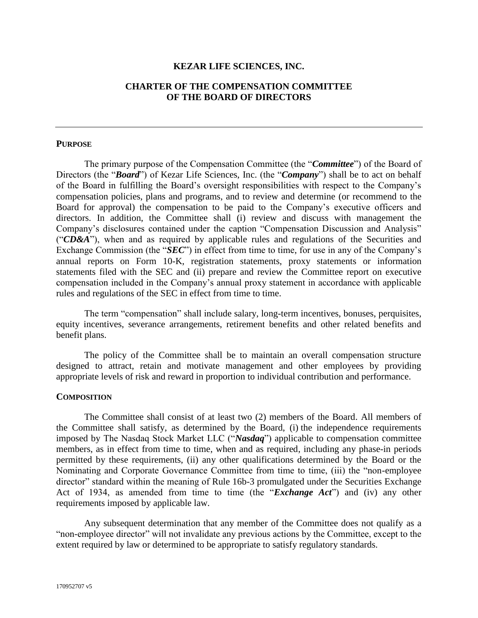## **KEZAR LIFE SCIENCES, INC.**

## **CHARTER OF THE COMPENSATION COMMITTEE OF THE BOARD OF DIRECTORS**

### **PURPOSE**

The primary purpose of the Compensation Committee (the "*Committee*") of the Board of Directors (the "*Board*") of Kezar Life Sciences, Inc. (the "*Company*") shall be to act on behalf of the Board in fulfilling the Board's oversight responsibilities with respect to the Company's compensation policies, plans and programs, and to review and determine (or recommend to the Board for approval) the compensation to be paid to the Company's executive officers and directors. In addition, the Committee shall (i) review and discuss with management the Company's disclosures contained under the caption "Compensation Discussion and Analysis" ("*CD&A*"), when and as required by applicable rules and regulations of the Securities and Exchange Commission (the "*SEC*") in effect from time to time, for use in any of the Company's annual reports on Form 10-K, registration statements, proxy statements or information statements filed with the SEC and (ii) prepare and review the Committee report on executive compensation included in the Company's annual proxy statement in accordance with applicable rules and regulations of the SEC in effect from time to time.

The term "compensation" shall include salary, long-term incentives, bonuses, perquisites, equity incentives, severance arrangements, retirement benefits and other related benefits and benefit plans.

The policy of the Committee shall be to maintain an overall compensation structure designed to attract, retain and motivate management and other employees by providing appropriate levels of risk and reward in proportion to individual contribution and performance.

### **COMPOSITION**

The Committee shall consist of at least two (2) members of the Board. All members of the Committee shall satisfy, as determined by the Board, (i) the independence requirements imposed by The Nasdaq Stock Market LLC ("*Nasdaq*") applicable to compensation committee members, as in effect from time to time, when and as required, including any phase-in periods permitted by these requirements, (ii) any other qualifications determined by the Board or the Nominating and Corporate Governance Committee from time to time, (iii) the "non-employee director" standard within the meaning of Rule 16b-3 promulgated under the Securities Exchange Act of 1934, as amended from time to time (the "*Exchange Act*") and (iv) any other requirements imposed by applicable law.

Any subsequent determination that any member of the Committee does not qualify as a "non-employee director" will not invalidate any previous actions by the Committee, except to the extent required by law or determined to be appropriate to satisfy regulatory standards.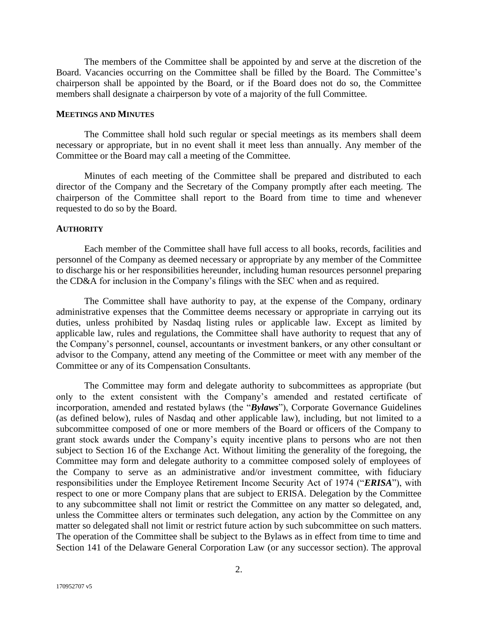The members of the Committee shall be appointed by and serve at the discretion of the Board. Vacancies occurring on the Committee shall be filled by the Board. The Committee's chairperson shall be appointed by the Board, or if the Board does not do so, the Committee members shall designate a chairperson by vote of a majority of the full Committee.

#### **MEETINGS AND MINUTES**

The Committee shall hold such regular or special meetings as its members shall deem necessary or appropriate, but in no event shall it meet less than annually. Any member of the Committee or the Board may call a meeting of the Committee.

Minutes of each meeting of the Committee shall be prepared and distributed to each director of the Company and the Secretary of the Company promptly after each meeting. The chairperson of the Committee shall report to the Board from time to time and whenever requested to do so by the Board.

### **AUTHORITY**

Each member of the Committee shall have full access to all books, records, facilities and personnel of the Company as deemed necessary or appropriate by any member of the Committee to discharge his or her responsibilities hereunder, including human resources personnel preparing the CD&A for inclusion in the Company's filings with the SEC when and as required.

The Committee shall have authority to pay, at the expense of the Company, ordinary administrative expenses that the Committee deems necessary or appropriate in carrying out its duties, unless prohibited by Nasdaq listing rules or applicable law. Except as limited by applicable law, rules and regulations, the Committee shall have authority to request that any of the Company's personnel, counsel, accountants or investment bankers, or any other consultant or advisor to the Company, attend any meeting of the Committee or meet with any member of the Committee or any of its Compensation Consultants.

The Committee may form and delegate authority to subcommittees as appropriate (but only to the extent consistent with the Company's amended and restated certificate of incorporation, amended and restated bylaws (the "*Bylaws*"), Corporate Governance Guidelines (as defined below), rules of Nasdaq and other applicable law), including, but not limited to a subcommittee composed of one or more members of the Board or officers of the Company to grant stock awards under the Company's equity incentive plans to persons who are not then subject to Section 16 of the Exchange Act. Without limiting the generality of the foregoing, the Committee may form and delegate authority to a committee composed solely of employees of the Company to serve as an administrative and/or investment committee, with fiduciary responsibilities under the Employee Retirement Income Security Act of 1974 ("*ERISA*"), with respect to one or more Company plans that are subject to ERISA. Delegation by the Committee to any subcommittee shall not limit or restrict the Committee on any matter so delegated, and, unless the Committee alters or terminates such delegation, any action by the Committee on any matter so delegated shall not limit or restrict future action by such subcommittee on such matters. The operation of the Committee shall be subject to the Bylaws as in effect from time to time and Section 141 of the Delaware General Corporation Law (or any successor section). The approval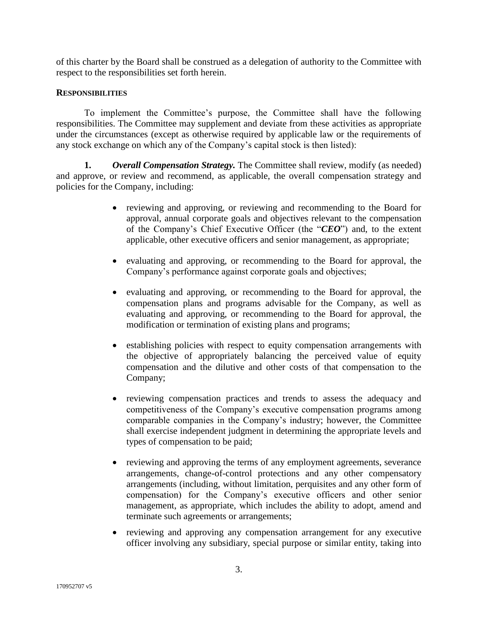of this charter by the Board shall be construed as a delegation of authority to the Committee with respect to the responsibilities set forth herein.

## **RESPONSIBILITIES**

To implement the Committee's purpose, the Committee shall have the following responsibilities. The Committee may supplement and deviate from these activities as appropriate under the circumstances (except as otherwise required by applicable law or the requirements of any stock exchange on which any of the Company's capital stock is then listed):

**1.** *Overall Compensation Strategy.* The Committee shall review, modify (as needed) and approve, or review and recommend, as applicable, the overall compensation strategy and policies for the Company, including:

- reviewing and approving, or reviewing and recommending to the Board for approval, annual corporate goals and objectives relevant to the compensation of the Company's Chief Executive Officer (the "*CEO*") and, to the extent applicable, other executive officers and senior management, as appropriate;
- evaluating and approving, or recommending to the Board for approval, the Company's performance against corporate goals and objectives;
- evaluating and approving, or recommending to the Board for approval, the compensation plans and programs advisable for the Company, as well as evaluating and approving, or recommending to the Board for approval, the modification or termination of existing plans and programs;
- establishing policies with respect to equity compensation arrangements with the objective of appropriately balancing the perceived value of equity compensation and the dilutive and other costs of that compensation to the Company;
- reviewing compensation practices and trends to assess the adequacy and competitiveness of the Company's executive compensation programs among comparable companies in the Company's industry; however, the Committee shall exercise independent judgment in determining the appropriate levels and types of compensation to be paid;
- reviewing and approving the terms of any employment agreements, severance arrangements, change-of-control protections and any other compensatory arrangements (including, without limitation, perquisites and any other form of compensation) for the Company's executive officers and other senior management, as appropriate, which includes the ability to adopt, amend and terminate such agreements or arrangements;
- reviewing and approving any compensation arrangement for any executive officer involving any subsidiary, special purpose or similar entity, taking into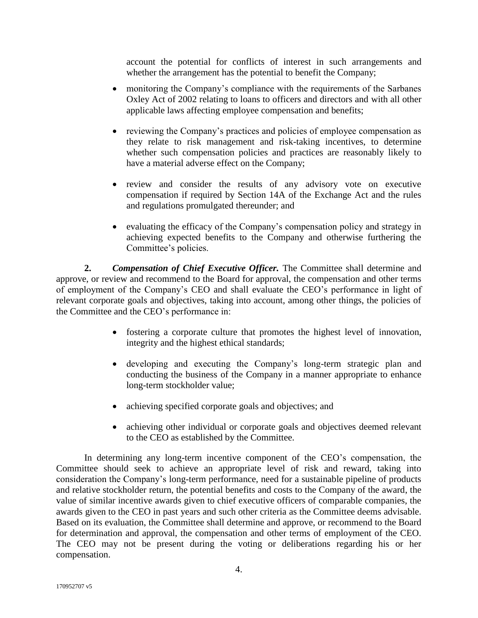account the potential for conflicts of interest in such arrangements and whether the arrangement has the potential to benefit the Company;

- monitoring the Company's compliance with the requirements of the Sarbanes Oxley Act of 2002 relating to loans to officers and directors and with all other applicable laws affecting employee compensation and benefits;
- reviewing the Company's practices and policies of employee compensation as they relate to risk management and risk-taking incentives, to determine whether such compensation policies and practices are reasonably likely to have a material adverse effect on the Company;
- review and consider the results of any advisory vote on executive compensation if required by Section 14A of the Exchange Act and the rules and regulations promulgated thereunder; and
- evaluating the efficacy of the Company's compensation policy and strategy in achieving expected benefits to the Company and otherwise furthering the Committee's policies.

**2.** *Compensation of Chief Executive Officer.* The Committee shall determine and approve, or review and recommend to the Board for approval, the compensation and other terms of employment of the Company's CEO and shall evaluate the CEO's performance in light of relevant corporate goals and objectives, taking into account, among other things, the policies of the Committee and the CEO's performance in:

- fostering a corporate culture that promotes the highest level of innovation, integrity and the highest ethical standards;
- developing and executing the Company's long-term strategic plan and conducting the business of the Company in a manner appropriate to enhance long-term stockholder value;
- achieving specified corporate goals and objectives; and
- achieving other individual or corporate goals and objectives deemed relevant to the CEO as established by the Committee.

In determining any long-term incentive component of the CEO's compensation, the Committee should seek to achieve an appropriate level of risk and reward, taking into consideration the Company's long-term performance, need for a sustainable pipeline of products and relative stockholder return, the potential benefits and costs to the Company of the award, the value of similar incentive awards given to chief executive officers of comparable companies, the awards given to the CEO in past years and such other criteria as the Committee deems advisable. Based on its evaluation, the Committee shall determine and approve, or recommend to the Board for determination and approval, the compensation and other terms of employment of the CEO. The CEO may not be present during the voting or deliberations regarding his or her compensation.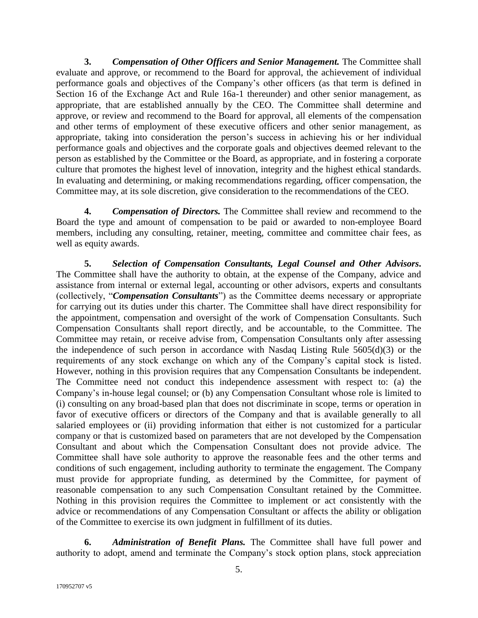**3.** *Compensation of Other Officers and Senior Management.* The Committee shall evaluate and approve, or recommend to the Board for approval, the achievement of individual performance goals and objectives of the Company's other officers (as that term is defined in Section 16 of the Exchange Act and Rule 16a-1 thereunder) and other senior management, as appropriate, that are established annually by the CEO. The Committee shall determine and approve, or review and recommend to the Board for approval, all elements of the compensation and other terms of employment of these executive officers and other senior management, as appropriate, taking into consideration the person's success in achieving his or her individual performance goals and objectives and the corporate goals and objectives deemed relevant to the person as established by the Committee or the Board, as appropriate, and in fostering a corporate culture that promotes the highest level of innovation, integrity and the highest ethical standards. In evaluating and determining, or making recommendations regarding, officer compensation, the Committee may, at its sole discretion, give consideration to the recommendations of the CEO.

**4.** *Compensation of Directors.* The Committee shall review and recommend to the Board the type and amount of compensation to be paid or awarded to non-employee Board members, including any consulting, retainer, meeting, committee and committee chair fees, as well as equity awards.

**5.** *Selection of Compensation Consultants, Legal Counsel and Other Advisors.* The Committee shall have the authority to obtain, at the expense of the Company, advice and assistance from internal or external legal, accounting or other advisors, experts and consultants (collectively, "*Compensation Consultants*") as the Committee deems necessary or appropriate for carrying out its duties under this charter. The Committee shall have direct responsibility for the appointment, compensation and oversight of the work of Compensation Consultants. Such Compensation Consultants shall report directly, and be accountable, to the Committee. The Committee may retain, or receive advise from, Compensation Consultants only after assessing the independence of such person in accordance with Nasdaq Listing Rule 5605(d)(3) or the requirements of any stock exchange on which any of the Company's capital stock is listed. However, nothing in this provision requires that any Compensation Consultants be independent. The Committee need not conduct this independence assessment with respect to: (a) the Company's in-house legal counsel; or (b) any Compensation Consultant whose role is limited to (i) consulting on any broad-based plan that does not discriminate in scope, terms or operation in favor of executive officers or directors of the Company and that is available generally to all salaried employees or (ii) providing information that either is not customized for a particular company or that is customized based on parameters that are not developed by the Compensation Consultant and about which the Compensation Consultant does not provide advice. The Committee shall have sole authority to approve the reasonable fees and the other terms and conditions of such engagement, including authority to terminate the engagement. The Company must provide for appropriate funding, as determined by the Committee, for payment of reasonable compensation to any such Compensation Consultant retained by the Committee. Nothing in this provision requires the Committee to implement or act consistently with the advice or recommendations of any Compensation Consultant or affects the ability or obligation of the Committee to exercise its own judgment in fulfillment of its duties.

**6.** *Administration of Benefit Plans.* The Committee shall have full power and authority to adopt, amend and terminate the Company's stock option plans, stock appreciation